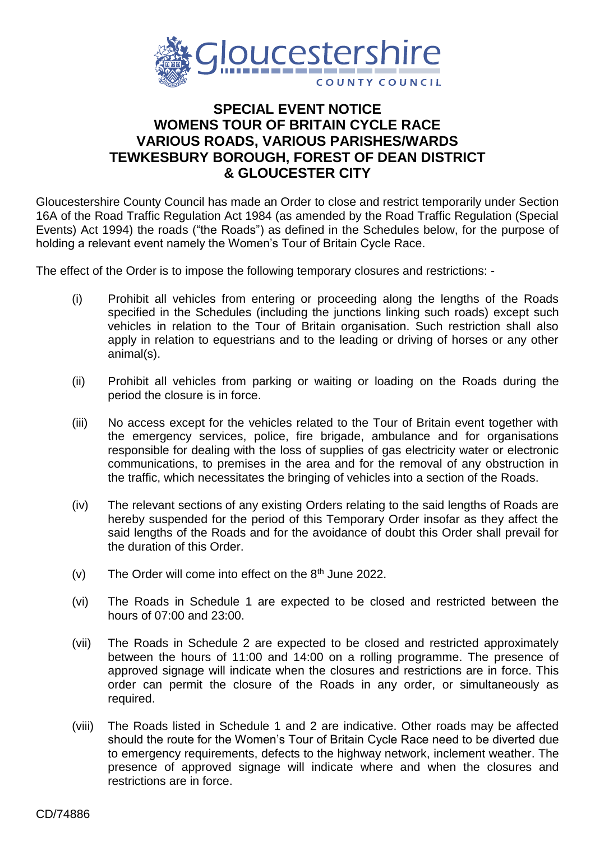

## **SPECIAL EVENT NOTICE WOMENS TOUR OF BRITAIN CYCLE RACE VARIOUS ROADS, VARIOUS PARISHES/WARDS TEWKESBURY BOROUGH, FOREST OF DEAN DISTRICT & GLOUCESTER CITY**

Gloucestershire County Council has made an Order to close and restrict temporarily under Section 16A of the Road Traffic Regulation Act 1984 (as amended by the Road Traffic Regulation (Special Events) Act 1994) the roads ("the Roads") as defined in the Schedules below, for the purpose of holding a relevant event namely the Women's Tour of Britain Cycle Race.

The effect of the Order is to impose the following temporary closures and restrictions: -

- (i) Prohibit all vehicles from entering or proceeding along the lengths of the Roads specified in the Schedules (including the junctions linking such roads) except such vehicles in relation to the Tour of Britain organisation. Such restriction shall also apply in relation to equestrians and to the leading or driving of horses or any other animal(s).
- (ii) Prohibit all vehicles from parking or waiting or loading on the Roads during the period the closure is in force.
- (iii) No access except for the vehicles related to the Tour of Britain event together with the emergency services, police, fire brigade, ambulance and for organisations responsible for dealing with the loss of supplies of gas electricity water or electronic communications, to premises in the area and for the removal of any obstruction in the traffic, which necessitates the bringing of vehicles into a section of the Roads.
- (iv) The relevant sections of any existing Orders relating to the said lengths of Roads are hereby suspended for the period of this Temporary Order insofar as they affect the said lengths of the Roads and for the avoidance of doubt this Order shall prevail for the duration of this Order.
- $(v)$  The Order will come into effect on the  $8<sup>th</sup>$  June 2022.
- (vi) The Roads in Schedule 1 are expected to be closed and restricted between the hours of 07:00 and 23:00.
- (vii) The Roads in Schedule 2 are expected to be closed and restricted approximately between the hours of 11:00 and 14:00 on a rolling programme. The presence of approved signage will indicate when the closures and restrictions are in force. This order can permit the closure of the Roads in any order, or simultaneously as required.
- (viii) The Roads listed in Schedule 1 and 2 are indicative. Other roads may be affected should the route for the Women's Tour of Britain Cycle Race need to be diverted due to emergency requirements, defects to the highway network, inclement weather. The presence of approved signage will indicate where and when the closures and restrictions are in force.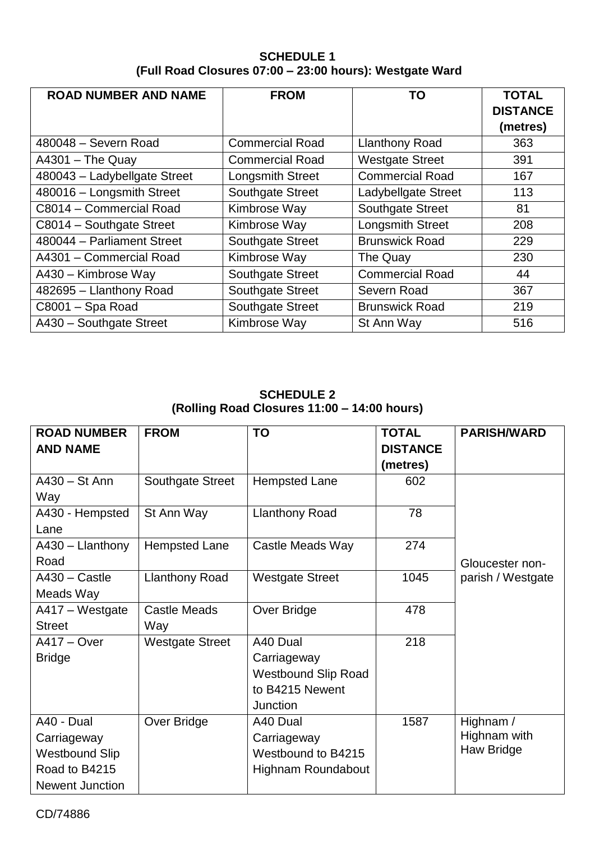## **SCHEDULE 1 (Full Road Closures 07:00 – 23:00 hours): Westgate Ward**

| <b>ROAD NUMBER AND NAME</b>  | <b>FROM</b>             | TO                      | <b>TOTAL</b>    |
|------------------------------|-------------------------|-------------------------|-----------------|
|                              |                         |                         | <b>DISTANCE</b> |
|                              |                         |                         | (metres)        |
| 480048 - Severn Road         | <b>Commercial Road</b>  | <b>Llanthony Road</b>   | 363             |
| $A4301 - The Quay$           | <b>Commercial Road</b>  | <b>Westgate Street</b>  | 391             |
| 480043 - Ladybellgate Street | Longsmith Street        | <b>Commercial Road</b>  | 167             |
| 480016 - Longsmith Street    | <b>Southgate Street</b> | Ladybellgate Street     | 113             |
| C8014 - Commercial Road      | Kimbrose Way            | <b>Southgate Street</b> | 81              |
| C8014 - Southgate Street     | Kimbrose Way            | Longsmith Street        | 208             |
| 480044 - Parliament Street   | <b>Southgate Street</b> | <b>Brunswick Road</b>   | 229             |
| A4301 - Commercial Road      | Kimbrose Way            | The Quay                | 230             |
| A430 - Kimbrose Way          | <b>Southgate Street</b> | <b>Commercial Road</b>  | 44              |
| 482695 - Llanthony Road      | <b>Southgate Street</b> | Severn Road             | 367             |
| C8001 - Spa Road             | <b>Southgate Street</b> | <b>Brunswick Road</b>   | 219             |
| A430 - Southgate Street      | Kimbrose Way            | St Ann Way              | 516             |

## **SCHEDULE 2 (Rolling Road Closures 11:00 – 14:00 hours)**

| <b>ROAD NUMBER</b>     | <b>FROM</b>            | <b>TO</b>                  | <b>TOTAL</b>    | <b>PARISH/WARD</b> |
|------------------------|------------------------|----------------------------|-----------------|--------------------|
| <b>AND NAME</b>        |                        |                            | <b>DISTANCE</b> |                    |
|                        |                        |                            | (metres)        |                    |
| A430 - St Ann          | Southgate Street       | <b>Hempsted Lane</b>       | 602             |                    |
| Way                    |                        |                            |                 |                    |
| A430 - Hempsted        | St Ann Way             | <b>Llanthony Road</b>      | 78              |                    |
| Lane                   |                        |                            |                 |                    |
| A430 - Llanthony       | <b>Hempsted Lane</b>   | Castle Meads Way           | 274             |                    |
| Road                   |                        |                            |                 | Gloucester non-    |
| $A430 - Castle$        | <b>Llanthony Road</b>  | <b>Westgate Street</b>     | 1045            | parish / Westgate  |
| Meads Way              |                        |                            |                 |                    |
| A417 – Westgate        | <b>Castle Meads</b>    | Over Bridge                | 478             |                    |
| <b>Street</b>          | Way                    |                            |                 |                    |
| <b>A417 – Over</b>     | <b>Westgate Street</b> | A40 Dual                   | 218             |                    |
| <b>Bridge</b>          |                        | Carriageway                |                 |                    |
|                        |                        | <b>Westbound Slip Road</b> |                 |                    |
|                        |                        | to B4215 Newent            |                 |                    |
|                        |                        | Junction                   |                 |                    |
| A40 - Dual             | Over Bridge            | A40 Dual                   | 1587            | Highnam /          |
| Carriageway            |                        | Carriageway                |                 | Highnam with       |
| Westbound Slip         |                        | Westbound to B4215         |                 | Haw Bridge         |
| Road to B4215          |                        | Highnam Roundabout         |                 |                    |
| <b>Newent Junction</b> |                        |                            |                 |                    |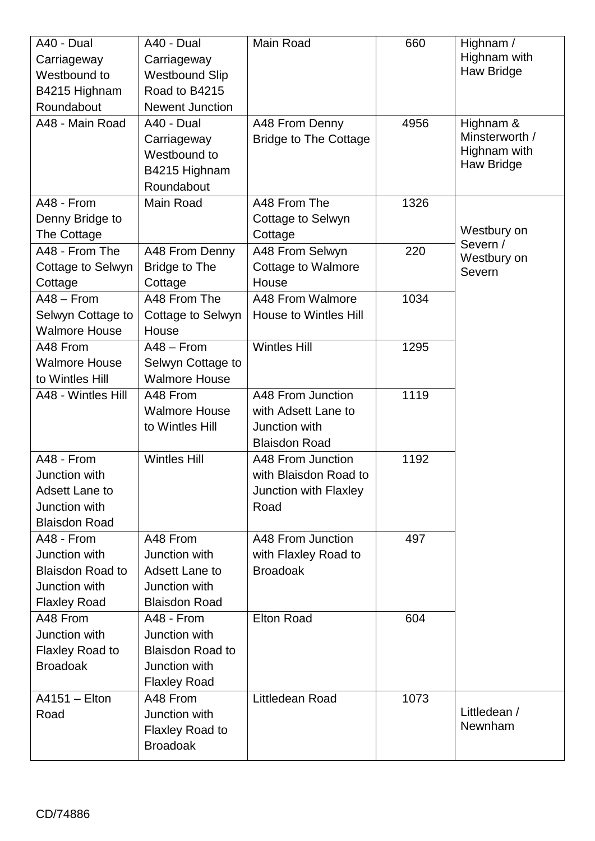| A40 - Dual              | A40 - Dual              | Main Road                    | 660  | Highnam /               |
|-------------------------|-------------------------|------------------------------|------|-------------------------|
| Carriageway             | Carriageway             |                              |      | Highnam with            |
| Westbound to            | <b>Westbound Slip</b>   |                              |      | Haw Bridge              |
| B4215 Highnam           | Road to B4215           |                              |      |                         |
| Roundabout              | <b>Newent Junction</b>  |                              |      |                         |
| A48 - Main Road         | A40 - Dual              | A48 From Denny               | 4956 | Highnam &               |
|                         | Carriageway             | <b>Bridge to The Cottage</b> |      | Minsterworth /          |
|                         | Westbound to            |                              |      | Highnam with            |
|                         | B4215 Highnam           |                              |      | Haw Bridge              |
|                         | Roundabout              |                              |      |                         |
| A48 - From              | Main Road               | A48 From The                 | 1326 |                         |
| Denny Bridge to         |                         | Cottage to Selwyn            |      |                         |
| The Cottage             |                         | Cottage                      |      | Westbury on             |
| A48 - From The          | A48 From Denny          | A48 From Selwyn              | 220  | Severn /<br>Westbury on |
| Cottage to Selwyn       | <b>Bridge to The</b>    | Cottage to Walmore           |      | Severn                  |
| Cottage                 | Cottage                 | House                        |      |                         |
| $A48 - From$            | A48 From The            | A48 From Walmore             | 1034 |                         |
| Selwyn Cottage to       | Cottage to Selwyn       | House to Wintles Hill        |      |                         |
| <b>Walmore House</b>    | House                   |                              |      |                         |
| A48 From                | $A48 - From$            | <b>Wintles Hill</b>          | 1295 |                         |
| <b>Walmore House</b>    | Selwyn Cottage to       |                              |      |                         |
| to Wintles Hill         | <b>Walmore House</b>    |                              |      |                         |
| A48 - Wintles Hill      | A48 From                | A48 From Junction            | 1119 |                         |
|                         | <b>Walmore House</b>    | with Adsett Lane to          |      |                         |
|                         | to Wintles Hill         | Junction with                |      |                         |
|                         |                         | <b>Blaisdon Road</b>         |      |                         |
| A48 - From              | <b>Wintles Hill</b>     | A48 From Junction            | 1192 |                         |
| Junction with           |                         | with Blaisdon Road to        |      |                         |
| <b>Adsett Lane to</b>   |                         | Junction with Flaxley        |      |                         |
| Junction with           |                         | Road                         |      |                         |
| <b>Blaisdon Road</b>    |                         |                              |      |                         |
| A48 - From              | A48 From                | A48 From Junction            | 497  |                         |
| Junction with           | Junction with           | with Flaxley Road to         |      |                         |
| <b>Blaisdon Road to</b> | Adsett Lane to          | <b>Broadoak</b>              |      |                         |
| Junction with           | Junction with           |                              |      |                         |
| <b>Flaxley Road</b>     | <b>Blaisdon Road</b>    |                              |      |                         |
| A48 From                | A48 - From              | <b>Elton Road</b>            | 604  |                         |
| Junction with           | Junction with           |                              |      |                         |
| Flaxley Road to         | <b>Blaisdon Road to</b> |                              |      |                         |
| <b>Broadoak</b>         | Junction with           |                              |      |                         |
|                         | <b>Flaxley Road</b>     |                              |      |                         |
| $A4151 - Elton$         | A48 From                | Littledean Road              | 1073 |                         |
| Road                    | Junction with           |                              |      | Littledean /            |
|                         | <b>Flaxley Road to</b>  |                              |      | Newnham                 |
|                         | <b>Broadoak</b>         |                              |      |                         |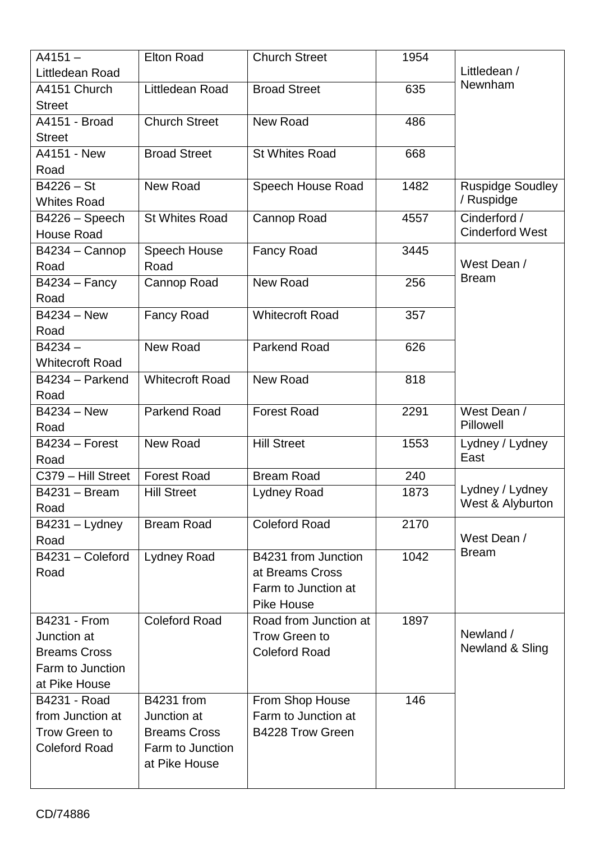| $A4151 -$              | <b>Elton Road</b>      | <b>Church Street</b>   | 1954 |                         |
|------------------------|------------------------|------------------------|------|-------------------------|
| Littledean Road        |                        |                        |      | Littledean /            |
| A4151 Church           | Littledean Road        | <b>Broad Street</b>    | 635  | Newnham                 |
| <b>Street</b>          |                        |                        |      |                         |
| A4151 - Broad          | <b>Church Street</b>   | <b>New Road</b>        | 486  |                         |
| <b>Street</b>          |                        |                        |      |                         |
| A4151 - New            | <b>Broad Street</b>    | <b>St Whites Road</b>  | 668  |                         |
| Road                   |                        |                        |      |                         |
| $B4226 - St$           | <b>New Road</b>        | Speech House Road      | 1482 | <b>Ruspidge Soudley</b> |
| <b>Whites Road</b>     |                        |                        |      | / Ruspidge              |
| B4226 - Speech         | <b>St Whites Road</b>  | Cannop Road            | 4557 | Cinderford /            |
| <b>House Road</b>      |                        |                        |      | <b>Cinderford West</b>  |
| B4234 - Cannop         | Speech House           | <b>Fancy Road</b>      | 3445 |                         |
| Road                   | Road                   |                        |      | West Dean /             |
| $B4234 - Fancy$        | Cannop Road            | New Road               | 256  | <b>Bream</b>            |
| Road                   |                        |                        |      |                         |
| B4234 - New            | <b>Fancy Road</b>      | <b>Whitecroft Road</b> | 357  |                         |
| Road                   |                        |                        |      |                         |
| $B4234 -$              | <b>New Road</b>        | <b>Parkend Road</b>    | 626  |                         |
| <b>Whitecroft Road</b> |                        |                        |      |                         |
| B4234 - Parkend        | <b>Whitecroft Road</b> | New Road               | 818  |                         |
| Road                   |                        |                        |      |                         |
| B4234 - New            | <b>Parkend Road</b>    | <b>Forest Road</b>     | 2291 | West Dean /             |
| Road                   |                        |                        |      | Pillowell               |
| $B4234 - Forest$       | <b>New Road</b>        | <b>Hill Street</b>     | 1553 | Lydney / Lydney         |
| Road                   |                        |                        |      | East                    |
| C379 - Hill Street     | <b>Forest Road</b>     | <b>Bream Road</b>      | 240  |                         |
| <b>B4231 - Bream</b>   | <b>Hill Street</b>     | Lydney Road            | 1873 | Lydney / Lydney         |
| Road                   |                        |                        |      | West & Alyburton        |
| $B4231 - Lydney$       | <b>Bream Road</b>      | <b>Coleford Road</b>   | 2170 |                         |
| Road                   |                        |                        |      | West Dean /             |
| B4231 - Coleford       | <b>Lydney Road</b>     | B4231 from Junction    | 1042 | <b>Bream</b>            |
| Road                   |                        | at Breams Cross        |      |                         |
|                        |                        | Farm to Junction at    |      |                         |
|                        |                        | <b>Pike House</b>      |      |                         |
| <b>B4231 - From</b>    | <b>Coleford Road</b>   | Road from Junction at  | 1897 |                         |
| Junction at            |                        | Trow Green to          |      | Newland /               |
| <b>Breams Cross</b>    |                        | <b>Coleford Road</b>   |      | Newland & Sling         |
| Farm to Junction       |                        |                        |      |                         |
| at Pike House          |                        |                        |      |                         |
| B4231 - Road           | <b>B4231 from</b>      | From Shop House        | 146  |                         |
| from Junction at       | Junction at            | Farm to Junction at    |      |                         |
| <b>Trow Green to</b>   | <b>Breams Cross</b>    | B4228 Trow Green       |      |                         |
| <b>Coleford Road</b>   | Farm to Junction       |                        |      |                         |
|                        | at Pike House          |                        |      |                         |
|                        |                        |                        |      |                         |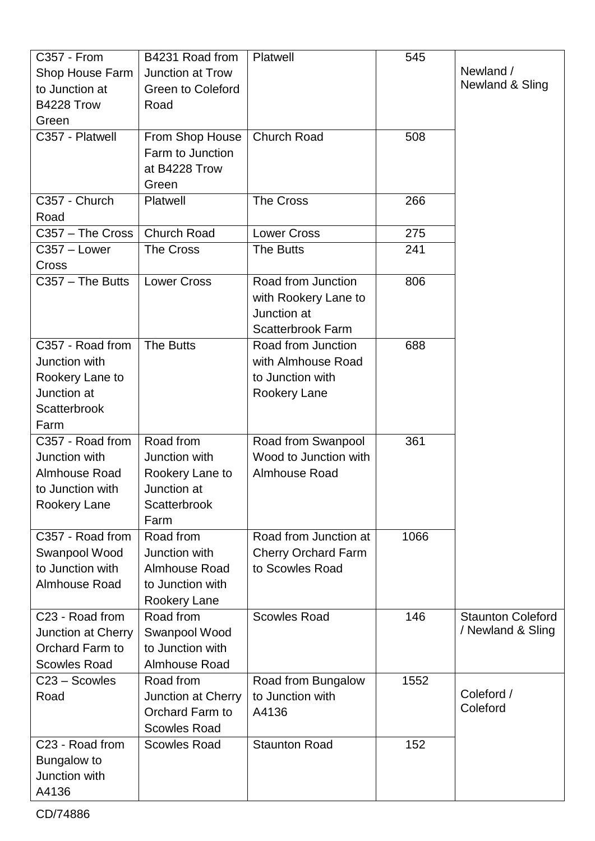| C357 - From          | B4231 Road from          | Platwell                   | 545  |                          |
|----------------------|--------------------------|----------------------------|------|--------------------------|
| Shop House Farm      | Junction at Trow         |                            |      | Newland /                |
| to Junction at       | <b>Green to Coleford</b> |                            |      | Newland & Sling          |
| B4228 Trow           | Road                     |                            |      |                          |
| Green                |                          |                            |      |                          |
| C357 - Platwell      | From Shop House          | <b>Church Road</b>         | 508  |                          |
|                      | Farm to Junction         |                            |      |                          |
|                      | at B4228 Trow            |                            |      |                          |
|                      | Green                    |                            |      |                          |
| C357 - Church        | Platwell                 | The Cross                  | 266  |                          |
| Road                 |                          |                            |      |                          |
| C357 - The Cross     | <b>Church Road</b>       | <b>Lower Cross</b>         | 275  |                          |
| C357 - Lower         | <b>The Cross</b>         | The Butts                  | 241  |                          |
| Cross                |                          |                            |      |                          |
| $C357 - The Butts$   | <b>Lower Cross</b>       | Road from Junction         | 806  |                          |
|                      |                          | with Rookery Lane to       |      |                          |
|                      |                          | Junction at                |      |                          |
|                      |                          | <b>Scatterbrook Farm</b>   |      |                          |
| C357 - Road from     | The Butts                | Road from Junction         | 688  |                          |
|                      |                          |                            |      |                          |
| Junction with        |                          | with Almhouse Road         |      |                          |
| Rookery Lane to      |                          | to Junction with           |      |                          |
| Junction at          |                          | Rookery Lane               |      |                          |
| Scatterbrook         |                          |                            |      |                          |
| Farm                 |                          |                            |      |                          |
| C357 - Road from     | Road from                | Road from Swanpool         | 361  |                          |
| Junction with        | Junction with            | Wood to Junction with      |      |                          |
| Almhouse Road        | Rookery Lane to          | Almhouse Road              |      |                          |
| to Junction with     | Junction at              |                            |      |                          |
| <b>Rookery Lane</b>  | Scatterbrook             |                            |      |                          |
|                      | Farm                     |                            |      |                          |
| C357 - Road from     | Road from                | Road from Junction at      | 1066 |                          |
| Swanpool Wood        | Junction with            | <b>Cherry Orchard Farm</b> |      |                          |
| to Junction with     | Almhouse Road            | to Scowles Road            |      |                          |
| <b>Almhouse Road</b> | to Junction with         |                            |      |                          |
|                      | Rookery Lane             |                            |      |                          |
| C23 - Road from      | Road from                | <b>Scowles Road</b>        | 146  | <b>Staunton Coleford</b> |
| Junction at Cherry   | Swanpool Wood            |                            |      | / Newland & Sling        |
| Orchard Farm to      | to Junction with         |                            |      |                          |
| <b>Scowles Road</b>  | Almhouse Road            |                            |      |                          |
| C23 - Scowles        | Road from                | Road from Bungalow         | 1552 |                          |
| Road                 | Junction at Cherry       | to Junction with           |      | Coleford /               |
|                      | Orchard Farm to          | A4136                      |      | Coleford                 |
|                      | <b>Scowles Road</b>      |                            |      |                          |
| C23 - Road from      | <b>Scowles Road</b>      | <b>Staunton Road</b>       | 152  |                          |
| Bungalow to          |                          |                            |      |                          |
| Junction with        |                          |                            |      |                          |
| A4136                |                          |                            |      |                          |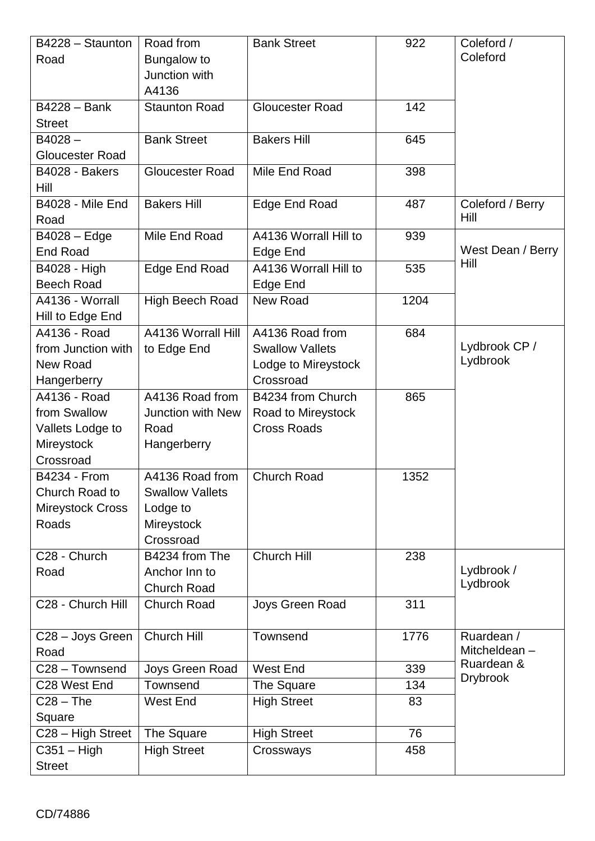| B4228 - Staunton        | Road from                | <b>Bank Street</b>     | 922  | Coleford /        |
|-------------------------|--------------------------|------------------------|------|-------------------|
| Road                    | Bungalow to              |                        |      | Coleford          |
|                         | Junction with            |                        |      |                   |
|                         | A4136                    |                        |      |                   |
| $B4228 - Bank$          | <b>Staunton Road</b>     | <b>Gloucester Road</b> | 142  |                   |
| <b>Street</b>           |                          |                        |      |                   |
| $B4028 -$               | <b>Bank Street</b>       | <b>Bakers Hill</b>     | 645  |                   |
| <b>Gloucester Road</b>  |                          |                        |      |                   |
| B4028 - Bakers          | <b>Gloucester Road</b>   | Mile End Road          | 398  |                   |
| Hill                    |                          |                        |      |                   |
| <b>B4028 - Mile End</b> | <b>Bakers Hill</b>       | Edge End Road          | 487  | Coleford / Berry  |
| Road                    |                          |                        |      | Hill              |
| B4028 - Edge            | Mile End Road            | A4136 Worrall Hill to  | 939  |                   |
| <b>End Road</b>         |                          | Edge End               |      | West Dean / Berry |
| B4028 - High            | Edge End Road            | A4136 Worrall Hill to  | 535  | Hill              |
| <b>Beech Road</b>       |                          | Edge End               |      |                   |
| A4136 - Worrall         | High Beech Road          | <b>New Road</b>        | 1204 |                   |
| Hill to Edge End        |                          |                        |      |                   |
| A4136 - Road            | A4136 Worrall Hill       | A4136 Road from        | 684  |                   |
| from Junction with      | to Edge End              | <b>Swallow Vallets</b> |      | Lydbrook CP /     |
| New Road                |                          | Lodge to Mireystock    |      | Lydbrook          |
| Hangerberry             |                          | Crossroad              |      |                   |
| A4136 - Road            | A4136 Road from          | B4234 from Church      | 865  |                   |
| from Swallow            | <b>Junction with New</b> | Road to Mireystock     |      |                   |
| Vallets Lodge to        | Road                     | <b>Cross Roads</b>     |      |                   |
| Mireystock              | Hangerberry              |                        |      |                   |
| Crossroad               |                          |                        |      |                   |
| <b>B4234 - From</b>     | A4136 Road from          | <b>Church Road</b>     | 1352 |                   |
| Church Road to          | <b>Swallow Vallets</b>   |                        |      |                   |
| Mireystock Cross        | Lodge to                 |                        |      |                   |
| Roads                   | Mireystock               |                        |      |                   |
|                         | Crossroad                |                        |      |                   |
| C28 - Church            | B4234 from The           | Church Hill            | 238  |                   |
| Road                    | Anchor Inn to            |                        |      | Lydbrook /        |
|                         | <b>Church Road</b>       |                        |      | Lydbrook          |
| C28 - Church Hill       | <b>Church Road</b>       | Joys Green Road        | 311  |                   |
|                         |                          |                        |      |                   |
| C28 - Joys Green        | Church Hill              | Townsend               | 1776 | Ruardean /        |
| Road                    |                          |                        |      | Mitcheldean-      |
| C28 - Townsend          | Joys Green Road          | West End               | 339  | Ruardean &        |
| C28 West End            | Townsend                 | The Square             | 134  | <b>Drybrook</b>   |
| $C28 - The$             | <b>West End</b>          | <b>High Street</b>     | 83   |                   |
| Square                  |                          |                        |      |                   |
| C28 - High Street       | The Square               | <b>High Street</b>     | 76   |                   |
| $C351 - High$           | <b>High Street</b>       | Crossways              | 458  |                   |
| <b>Street</b>           |                          |                        |      |                   |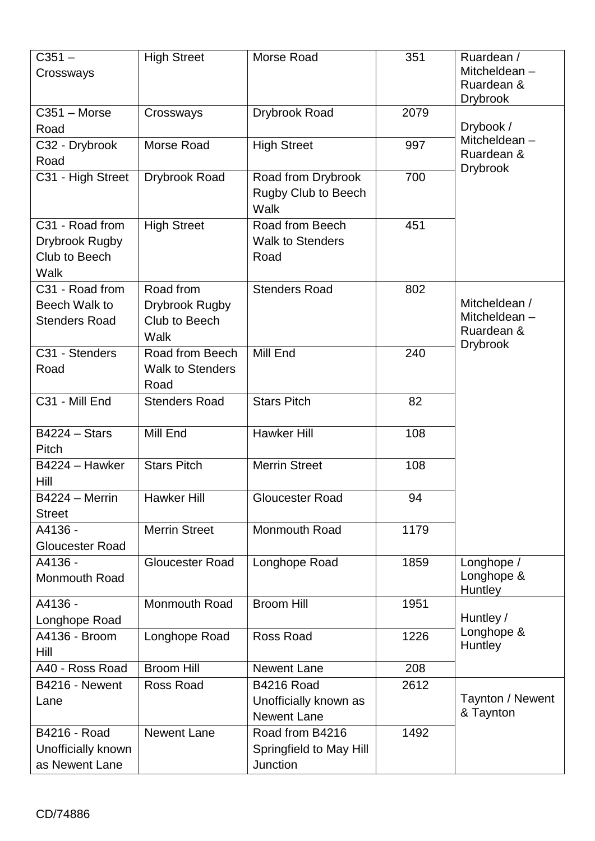| $C351 -$<br>Crossways                                      | <b>High Street</b>                                   | Morse Road                                                       | 351  | Ruardean /<br>Mitcheldean-<br>Ruardean &<br><b>Drybrook</b>    |
|------------------------------------------------------------|------------------------------------------------------|------------------------------------------------------------------|------|----------------------------------------------------------------|
| $C351 - Morse$<br>Road                                     | Crossways                                            | Drybrook Road                                                    | 2079 | Drybook /                                                      |
| C32 - Drybrook<br>Road                                     | Morse Road                                           | <b>High Street</b>                                               | 997  | Mitcheldean-<br>Ruardean &<br><b>Drybrook</b>                  |
| C31 - High Street                                          | <b>Drybrook Road</b>                                 | Road from Drybrook<br>Rugby Club to Beech<br>Walk                | 700  |                                                                |
| C31 - Road from<br>Drybrook Rugby<br>Club to Beech<br>Walk | <b>High Street</b>                                   | Road from Beech<br><b>Walk to Stenders</b><br>Road               | 451  |                                                                |
| C31 - Road from<br>Beech Walk to<br><b>Stenders Road</b>   | Road from<br>Drybrook Rugby<br>Club to Beech<br>Walk | <b>Stenders Road</b>                                             | 802  | Mitcheldean /<br>Mitcheldean-<br>Ruardean &<br><b>Drybrook</b> |
| C31 - Stenders<br>Road                                     | Road from Beech<br><b>Walk to Stenders</b><br>Road   | Mill End                                                         | 240  |                                                                |
| C31 - Mill End                                             | <b>Stenders Road</b>                                 | <b>Stars Pitch</b>                                               | 82   |                                                                |
| <b>B4224 - Stars</b><br>Pitch                              | Mill End                                             | <b>Hawker Hill</b>                                               | 108  |                                                                |
| B4224 - Hawker<br>Hill                                     | <b>Stars Pitch</b>                                   | <b>Merrin Street</b>                                             | 108  |                                                                |
| B4224 - Merrin<br><b>Street</b>                            | Hawker Hill                                          | Gloucester Road                                                  | 94   |                                                                |
| A4136 -<br><b>Gloucester Road</b>                          | <b>Merrin Street</b>                                 | Monmouth Road                                                    | 1179 |                                                                |
| A4136 -<br><b>Monmouth Road</b>                            | Gloucester Road                                      | Longhope Road                                                    | 1859 | Longhope /<br>Longhope &<br>Huntley                            |
| A4136 -<br>Longhope Road                                   | Monmouth Road                                        | <b>Broom Hill</b>                                                | 1951 | Huntley /                                                      |
| A4136 - Broom<br>Hill                                      | Longhope Road                                        | Ross Road                                                        | 1226 | Longhope &<br>Huntley                                          |
| A40 - Ross Road                                            | <b>Broom Hill</b>                                    | <b>Newent Lane</b>                                               | 208  |                                                                |
| B4216 - Newent<br>Lane                                     | Ross Road                                            | <b>B4216 Road</b><br>Unofficially known as<br><b>Newent Lane</b> | 2612 | Taynton / Newent<br>& Taynton                                  |
| B4216 - Road<br>Unofficially known<br>as Newent Lane       | <b>Newent Lane</b>                                   | Road from B4216<br>Springfield to May Hill<br>Junction           | 1492 |                                                                |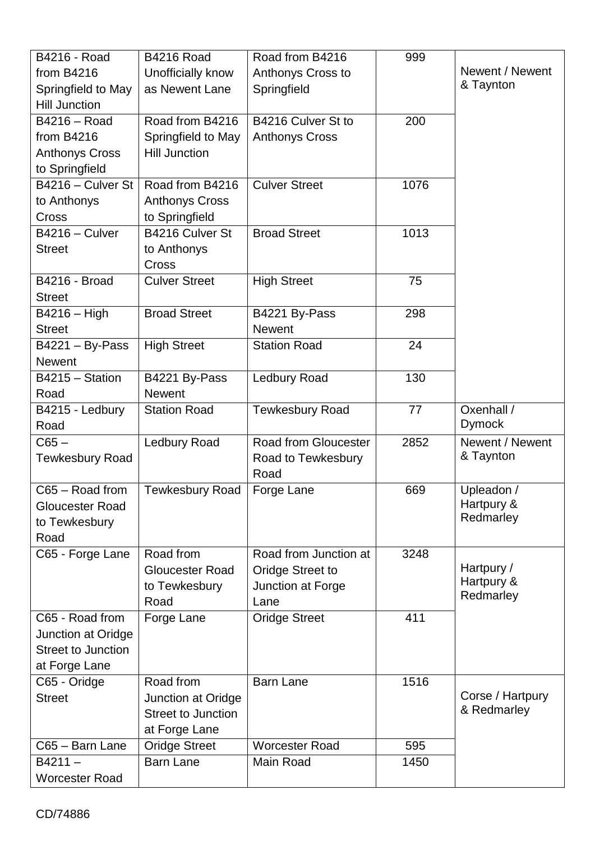| B4216 - Road              | <b>B4216 Road</b>         | Road from B4216             | 999  |                  |
|---------------------------|---------------------------|-----------------------------|------|------------------|
| from $B4216$              | Unofficially know         | Anthonys Cross to           |      | Newent / Newent  |
| Springfield to May        | as Newent Lane            | Springfield                 |      | & Taynton        |
| <b>Hill Junction</b>      |                           |                             |      |                  |
| B4216 - Road              | Road from B4216           | B4216 Culver St to          | 200  |                  |
| from B4216                | Springfield to May        | <b>Anthonys Cross</b>       |      |                  |
| <b>Anthonys Cross</b>     | <b>Hill Junction</b>      |                             |      |                  |
| to Springfield            |                           |                             |      |                  |
| B4216 - Culver St         | Road from B4216           | <b>Culver Street</b>        | 1076 |                  |
| to Anthonys               | <b>Anthonys Cross</b>     |                             |      |                  |
| Cross                     | to Springfield            |                             |      |                  |
| B4216 - Culver            | B4216 Culver St           | <b>Broad Street</b>         | 1013 |                  |
| <b>Street</b>             | to Anthonys               |                             |      |                  |
|                           | Cross                     |                             |      |                  |
| <b>B4216 - Broad</b>      | <b>Culver Street</b>      | <b>High Street</b>          | 75   |                  |
| <b>Street</b>             |                           |                             |      |                  |
| $B4216 - High$            | <b>Broad Street</b>       | B4221 By-Pass               | 298  |                  |
| <b>Street</b>             |                           | <b>Newent</b>               |      |                  |
| $B4221 - By-Pass$         | <b>High Street</b>        | <b>Station Road</b>         | 24   |                  |
| <b>Newent</b>             |                           |                             |      |                  |
| B4215 - Station           | B4221 By-Pass             | Ledbury Road                | 130  |                  |
| Road                      | <b>Newent</b>             |                             |      |                  |
| B4215 - Ledbury           | <b>Station Road</b>       | <b>Tewkesbury Road</b>      | 77   | Oxenhall /       |
| Road                      |                           |                             |      | <b>Dymock</b>    |
| $C65 -$                   | Ledbury Road              | <b>Road from Gloucester</b> | 2852 | Newent / Newent  |
| <b>Tewkesbury Road</b>    |                           | Road to Tewkesbury          |      | & Taynton        |
|                           |                           | Road                        |      |                  |
| C65 - Road from           | <b>Tewkesbury Road</b>    | Forge Lane                  | 669  | Upleadon /       |
| <b>Gloucester Road</b>    |                           |                             |      | Hartpury &       |
| to Tewkesbury             |                           |                             |      | Redmarley        |
| Road                      |                           |                             |      |                  |
| C65 - Forge Lane          | Road from                 | Road from Junction at       | 3248 |                  |
|                           | <b>Gloucester Road</b>    | Oridge Street to            |      | Hartpury /       |
|                           | to Tewkesbury             | Junction at Forge           |      | Hartpury &       |
|                           | Road                      | Lane                        |      | Redmarley        |
| C65 - Road from           | Forge Lane                | <b>Oridge Street</b>        | 411  |                  |
| Junction at Oridge        |                           |                             |      |                  |
| <b>Street to Junction</b> |                           |                             |      |                  |
| at Forge Lane             |                           |                             |      |                  |
| C65 - Oridge              | Road from                 | <b>Barn Lane</b>            | 1516 |                  |
| <b>Street</b>             | Junction at Oridge        |                             |      | Corse / Hartpury |
|                           | <b>Street to Junction</b> |                             |      | & Redmarley      |
|                           | at Forge Lane             |                             |      |                  |
| C65 - Barn Lane           | <b>Oridge Street</b>      | <b>Worcester Road</b>       | 595  |                  |
| $B4211 -$                 | <b>Barn Lane</b>          | Main Road                   | 1450 |                  |
| <b>Worcester Road</b>     |                           |                             |      |                  |